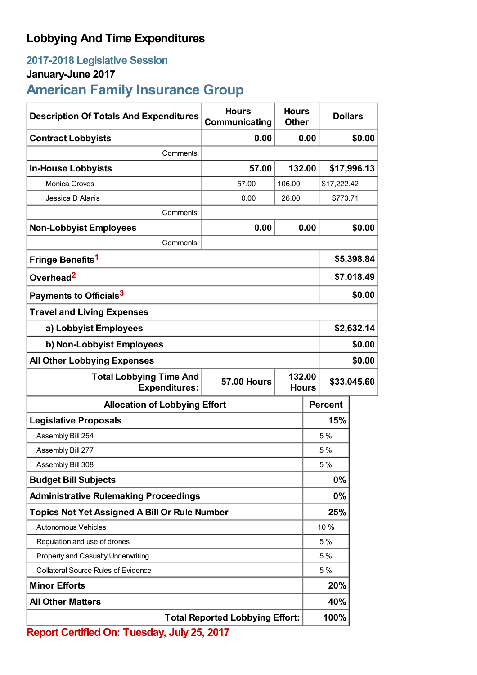## **Lobbying And Time Expenditures**

## **2017-2018 Legislative Session**

## **January-June 2017**

# **American Family Insurance Group**

| <b>Description Of Totals And Expenditures</b>                                                          | <b>Hours</b><br>Communicating | <b>Hours</b><br><b>Other</b> | <b>Dollars</b> |             |  |
|--------------------------------------------------------------------------------------------------------|-------------------------------|------------------------------|----------------|-------------|--|
| <b>Contract Lobbyists</b>                                                                              | 0.00                          | 0.00                         |                | \$0.00      |  |
| Comments:                                                                                              |                               |                              |                |             |  |
| <b>In-House Lobbyists</b>                                                                              | 57.00                         | 132.00                       |                | \$17,996.13 |  |
| Monica Groves                                                                                          | 57.00                         | 106.00                       | \$17,222.42    |             |  |
| Jessica D Alanis                                                                                       | 0.00                          | 26.00                        | \$773.71       |             |  |
| Comments:                                                                                              |                               |                              |                |             |  |
| <b>Non-Lobbyist Employees</b>                                                                          | 0.00                          | 0.00                         |                | \$0.00      |  |
| Comments:                                                                                              |                               |                              |                |             |  |
| Fringe Benefits <sup>1</sup>                                                                           |                               |                              | \$5,398.84     |             |  |
| Overhead <sup>2</sup>                                                                                  |                               |                              | \$7,018.49     |             |  |
| Payments to Officials <sup>3</sup>                                                                     |                               |                              | \$0.00         |             |  |
| <b>Travel and Living Expenses</b>                                                                      |                               |                              |                |             |  |
| a) Lobbyist Employees                                                                                  |                               |                              | \$2,632.14     |             |  |
| b) Non-Lobbyist Employees                                                                              |                               |                              | \$0.00         |             |  |
| <b>All Other Lobbying Expenses</b>                                                                     |                               |                              |                | \$0.00      |  |
| <b>Total Lobbying Time And</b><br>132.00<br><b>57.00 Hours</b><br><b>Expenditures:</b><br><b>Hours</b> |                               |                              | \$33,045.60    |             |  |
| <b>Allocation of Lobbying Effort</b>                                                                   |                               |                              | <b>Percent</b> |             |  |
| <b>Legislative Proposals</b>                                                                           |                               |                              | 15%            |             |  |
| Assembly Bill 254                                                                                      |                               |                              | 5 %            |             |  |
| Assembly Bill 277                                                                                      |                               |                              | 5 %            |             |  |
| Assembly Bill 308                                                                                      |                               |                              | 5 %            |             |  |
| <b>Budget Bill Subjects</b>                                                                            |                               |                              | 0%             |             |  |
| <b>Administrative Rulemaking Proceedings</b>                                                           |                               |                              | 0%             |             |  |
| <b>Topics Not Yet Assigned A Bill Or Rule Number</b>                                                   |                               |                              | 25%            |             |  |
| Autonomous Vehicles                                                                                    |                               |                              | 10 %           |             |  |
| Regulation and use of drones                                                                           |                               |                              | 5 %            |             |  |
| Property and Casualty Underwriting                                                                     |                               |                              | 5 %            |             |  |
| <b>Collateral Source Rules of Evidence</b>                                                             |                               |                              | 5 %            |             |  |
| <b>Minor Efforts</b>                                                                                   |                               |                              | 20%            |             |  |
| <b>All Other Matters</b>                                                                               |                               |                              | 40%            |             |  |
| <b>Total Reported Lobbying Effort:</b>                                                                 |                               |                              | 100%           |             |  |

**Report Certified On: Tuesday, July 25, 2017**